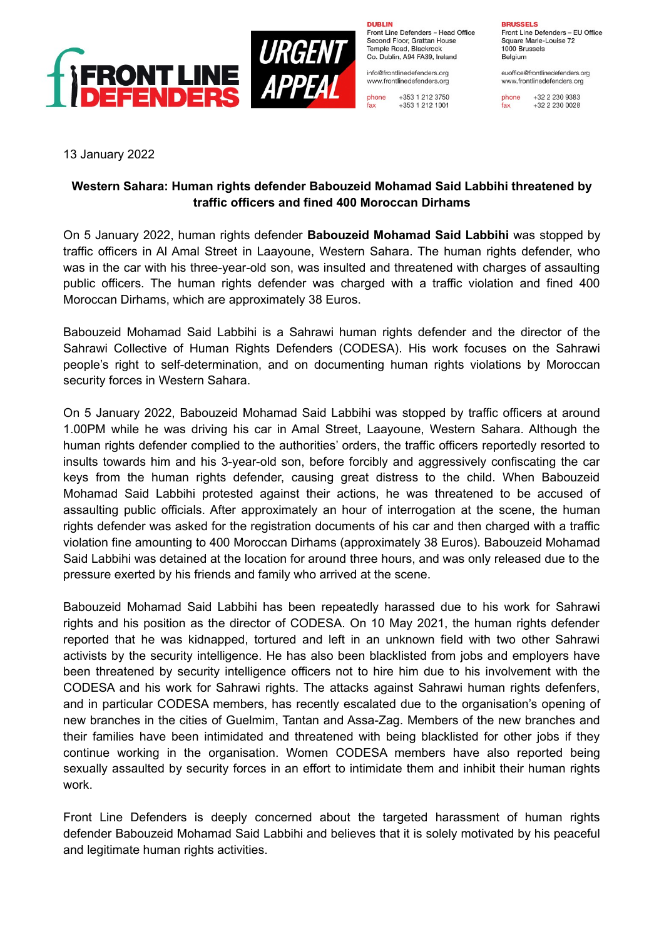

**DURLIN** Front Line Defenders - Head Office Second Floor, Grattan House Temple Boad, Blackrock

Co. Dublin, A94 FA39, Ireland info@frontlinedefenders.org

www.frontlinedefenders.org phone +353 1 212 3750

+353 1 212 1001

fax

**BDUCCEL C** 

Front Line Defenders - EU Office Square Marie-Louise 72 1000 Brussels Belgium

euoffice@frontlinedefenders.org www.frontlinedefenders.org

phone +32 2 230 9383  $fax$ +32 2 230 0028

13 January 2022

## **Western Sahara: Human rights defender Babouzeid Mohamad Said Labbihi threatened by traffic officers and fined 400 Moroccan Dirhams**

On 5 January 2022, human rights defender **Babouzeid Mohamad Said Labbihi** was stopped by traffic officers in Al Amal Street in Laayoune, Western Sahara. The human rights defender, who was in the car with his three-year-old son, was insulted and threatened with charges of assaulting public officers. The human rights defender was charged with a traffic violation and fined 400 Moroccan Dirhams, which are approximately 38 Euros.

Babouzeid Mohamad Said Labbihi is a Sahrawi human rights defender and the director of the Sahrawi Collective of Human Rights Defenders (CODESA). His work focuses on the Sahrawi people's right to self-determination, and on documenting human rights violations by Moroccan security forces in Western Sahara.

On 5 January 2022, Babouzeid Mohamad Said Labbihi was stopped by traffic officers at around 1.00PM while he was driving his car in Amal Street, Laayoune, Western Sahara. Although the human rights defender complied to the authorities' orders, the traffic officers reportedly resorted to insults towards him and his 3-year-old son, before forcibly and aggressively confiscating the car keys from the human rights defender, causing great distress to the child. When Babouzeid Mohamad Said Labbihi protested against their actions, he was threatened to be accused of assaulting public officials. After approximately an hour of interrogation at the scene, the human rights defender was asked for the registration documents of his car and then charged with a traffic violation fine amounting to 400 Moroccan Dirhams (approximately 38 Euros). Babouzeid Mohamad Said Labbihi was detained at the location for around three hours, and was only released due to the pressure exerted by his friends and family who arrived at the scene.

Babouzeid Mohamad Said Labbihi has been repeatedly harassed due to his work for Sahrawi rights and his position as the director of CODESA. On 10 May 2021, the human rights defender reported that he was kidnapped, tortured and left in an unknown field with two other Sahrawi activists by the security intelligence. He has also been blacklisted from jobs and employers have been threatened by security intelligence officers not to hire him due to his involvement with the CODESA and his work for Sahrawi rights. The attacks against Sahrawi human rights defenfers, and in particular CODESA members, has recently escalated due to the organisation's opening of new branches in the cities of Guelmim, Tantan and Assa-Zag. Members of the new branches and their families have been intimidated and threatened with being blacklisted for other jobs if they continue working in the organisation. Women CODESA members have also reported being sexually assaulted by security forces in an effort to intimidate them and inhibit their human rights work.

Front Line Defenders is deeply concerned about the targeted harassment of human rights defender Babouzeid Mohamad Said Labbihi and believes that it is solely motivated by his peaceful and legitimate human rights activities.